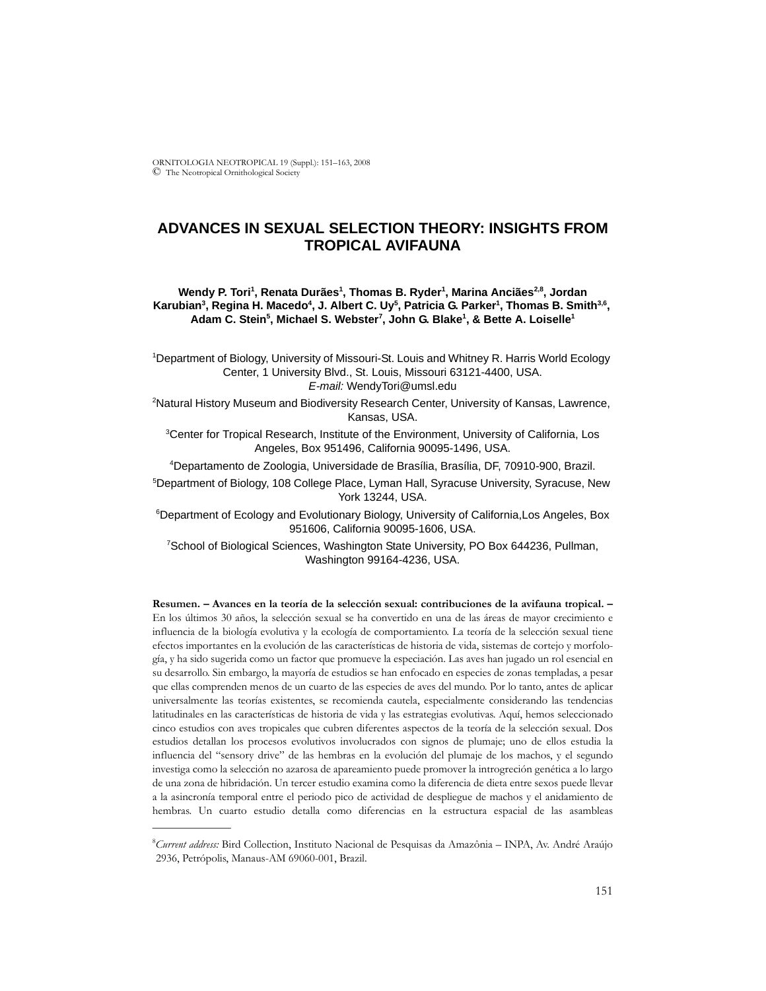ORNITOLOGIA NEOTROPICAL 19 (Suppl.): 151–163, 2008 © The Neotropical Ornithological Society

# **ADVANCES IN SEXUAL SELECTION THEORY: INSIGHTS FROM TROPICAL AVIFAUNA**

Wendy P. Tori<sup>1</sup>, Renata Durães<sup>1</sup>, Thomas B. Ryder<sup>1</sup>, Marina Anciães<sup>2,8</sup>, Jordan Karubian<sup>3</sup>, Regina H. Macedo<sup>4</sup>, J. Albert C. Uy<sup>5</sup>, Patricia G. Parker<sup>1</sup>, Thomas B. Smith<sup>3,6</sup>, Adam C. Stein<sup>5</sup>, Michael S. Webster<sup>7</sup>, John G. Blake<sup>1</sup>, & Bette A. Loiselle<sup>1</sup>

1 Department of Biology, University of Missouri-St. Louis and Whitney R. Harris World Ecology Center, 1 University Blvd., St. Louis, Missouri 63121-4400, USA. *E-mail:* WendyTori@umsl.edu

2 Natural History Museum and Biodiversity Research Center, University of Kansas, Lawrence, Kansas, USA.

<sup>3</sup> Center for Tropical Research, Institute of the Environment, University of California, Los Angeles, Box 951496, California 90095-1496, USA.

4 Departamento de Zoologia, Universidade de Brasília, Brasília, DF, 70910-900, Brazil.

5 Department of Biology, 108 College Place, Lyman Hall, Syracuse University, Syracuse, New York 13244, USA.

6 Department of Ecology and Evolutionary Biology, University of California,Los Angeles, Box 951606, California 90095-1606, USA.

7 School of Biological Sciences, Washington State University, PO Box 644236, Pullman, Washington 99164-4236, USA.

**Resumen. – Avances en la teoría de la selección sexual: contribuciones de la avifauna tropical. –** En los últimos 30 años, la selección sexual se ha convertido en una de las áreas de mayor crecimiento e influencia de la biología evolutiva y la ecología de comportamiento. La teoría de la selección sexual tiene efectos importantes en la evolución de las características de historia de vida, sistemas de cortejo y morfología, y ha sido sugerida como un factor que promueve la especiación. Las aves han jugado un rol esencial en su desarrollo. Sin embargo, la mayoría de estudios se han enfocado en especies de zonas templadas, a pesar que ellas comprenden menos de un cuarto de las especies de aves del mundo. Por lo tanto, antes de aplicar universalmente las teorías existentes, se recomienda cautela, especialmente considerando las tendencias latitudinales en las características de historia de vida y las estrategias evolutivas. Aquí, hemos seleccionado cinco estudios con aves tropicales que cubren diferentes aspectos de la teoría de la selección sexual. Dos estudios detallan los procesos evolutivos involucrados con signos de plumaje; uno de ellos estudia la influencia del "sensory drive" de las hembras en la evolución del plumaje de los machos, y el segundo investiga como la selección no azarosa de apareamiento puede promover la introgreción genética a lo largo de una zona de hibridación. Un tercer estudio examina como la diferencia de dieta entre sexos puede llevar a la asincronía temporal entre el periodo pico de actividad de despliegue de machos y el anidamiento de hembras. Un cuarto estudio detalla como diferencias en la estructura espacial de las asambleas

\_\_\_\_\_\_\_\_\_\_\_\_\_\_

<sup>8</sup> *Current address:* Bird Collection, Instituto Nacional de Pesquisas da Amazônia – INPA, Av. André Araújo 2936, Petrópolis, Manaus-AM 69060-001, Brazil.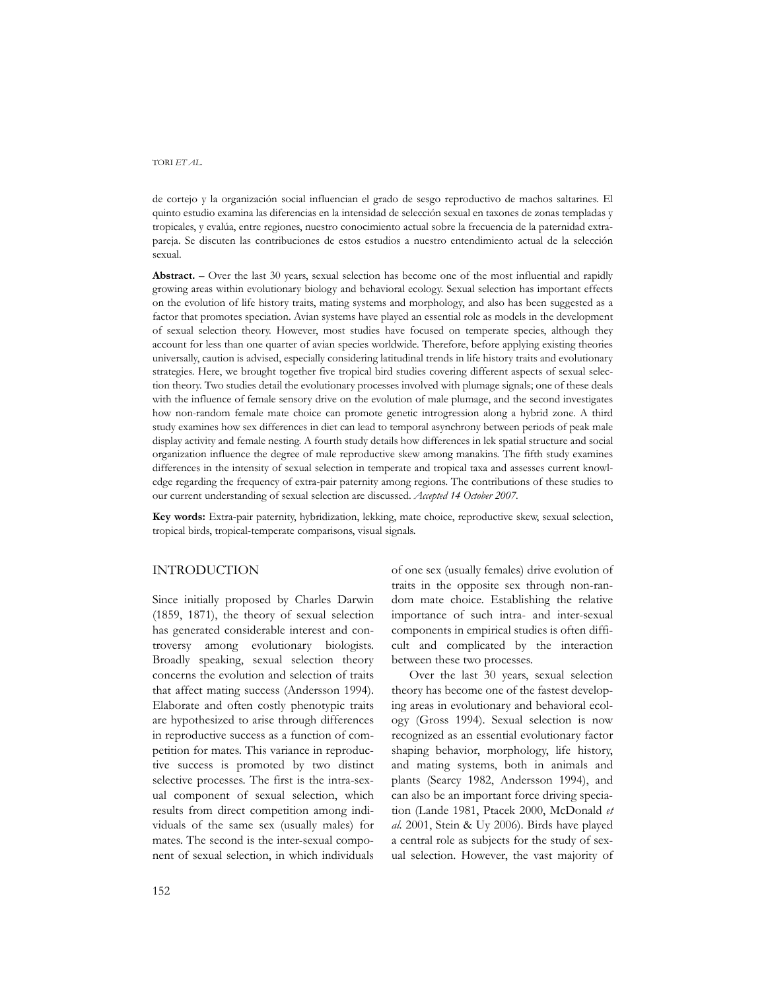de cortejo y la organización social influencian el grado de sesgo reproductivo de machos saltarines. El quinto estudio examina las diferencias en la intensidad de selección sexual en taxones de zonas templadas y tropicales, y evalúa, entre regiones, nuestro conocimiento actual sobre la frecuencia de la paternidad extrapareja. Se discuten las contribuciones de estos estudios a nuestro entendimiento actual de la selección sexual.

**Abstract.** – Over the last 30 years, sexual selection has become one of the most influential and rapidly growing areas within evolutionary biology and behavioral ecology. Sexual selection has important effects on the evolution of life history traits, mating systems and morphology, and also has been suggested as a factor that promotes speciation. Avian systems have played an essential role as models in the development of sexual selection theory. However, most studies have focused on temperate species, although they account for less than one quarter of avian species worldwide. Therefore, before applying existing theories universally, caution is advised, especially considering latitudinal trends in life history traits and evolutionary strategies. Here, we brought together five tropical bird studies covering different aspects of sexual selection theory. Two studies detail the evolutionary processes involved with plumage signals; one of these deals with the influence of female sensory drive on the evolution of male plumage, and the second investigates how non-random female mate choice can promote genetic introgression along a hybrid zone. A third study examines how sex differences in diet can lead to temporal asynchrony between periods of peak male display activity and female nesting. A fourth study details how differences in lek spatial structure and social organization influence the degree of male reproductive skew among manakins. The fifth study examines differences in the intensity of sexual selection in temperate and tropical taxa and assesses current knowledge regarding the frequency of extra-pair paternity among regions. The contributions of these studies to our current understanding of sexual selection are discussed. *Accepted 14 October 2007.*

**Key words:** Extra-pair paternity, hybridization, lekking, mate choice, reproductive skew, sexual selection, tropical birds, tropical-temperate comparisons, visual signals.

### INTRODUCTION

Since initially proposed by Charles Darwin (1859, 1871), the theory of sexual selection has generated considerable interest and controversy among evolutionary biologists. Broadly speaking, sexual selection theory concerns the evolution and selection of traits that affect mating success (Andersson 1994). Elaborate and often costly phenotypic traits are hypothesized to arise through differences in reproductive success as a function of competition for mates. This variance in reproductive success is promoted by two distinct selective processes. The first is the intra-sexual component of sexual selection, which results from direct competition among individuals of the same sex (usually males) for mates. The second is the inter-sexual component of sexual selection, in which individuals

of one sex (usually females) drive evolution of traits in the opposite sex through non-random mate choice. Establishing the relative importance of such intra- and inter-sexual components in empirical studies is often difficult and complicated by the interaction between these two processes.

Over the last 30 years, sexual selection theory has become one of the fastest developing areas in evolutionary and behavioral ecology (Gross 1994). Sexual selection is now recognized as an essential evolutionary factor shaping behavior, morphology, life history, and mating systems, both in animals and plants (Searcy 1982, Andersson 1994), and can also be an important force driving speciation (Lande 1981, Ptacek 2000, McDonald *et al.* 2001, Stein & Uy 2006). Birds have played a central role as subjects for the study of sexual selection. However, the vast majority of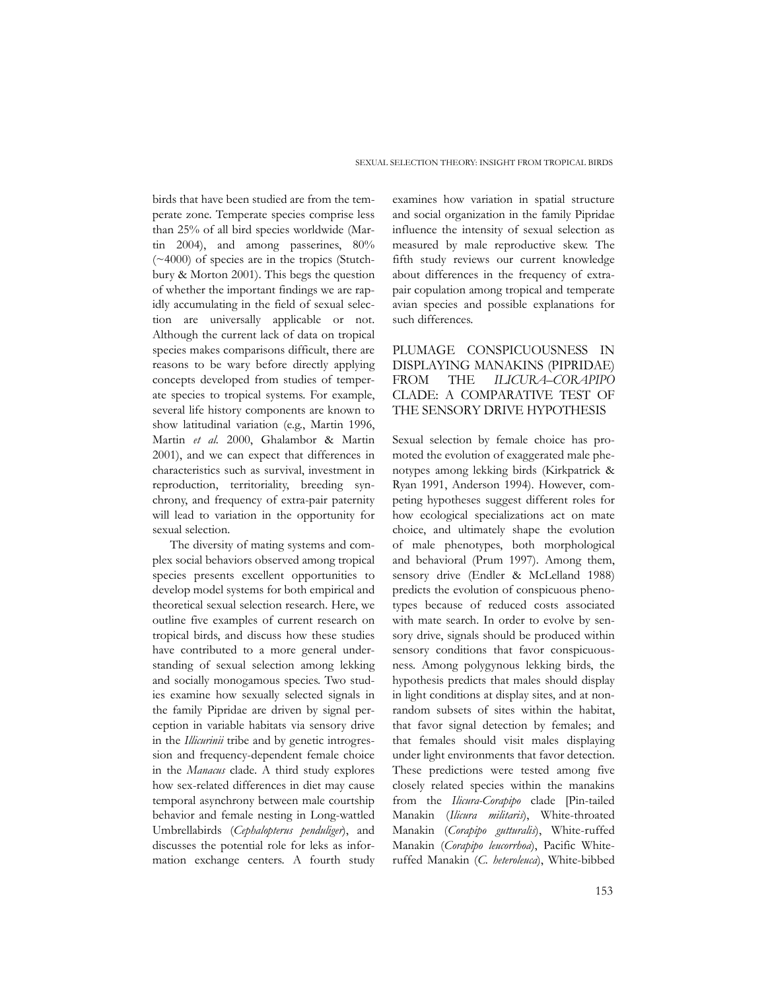birds that have been studied are from the temperate zone. Temperate species comprise less than 25% of all bird species worldwide (Martin 2004), and among passerines, 80% (~4000) of species are in the tropics (Stutchbury & Morton 2001). This begs the question of whether the important findings we are rapidly accumulating in the field of sexual selection are universally applicable or not. Although the current lack of data on tropical species makes comparisons difficult, there are reasons to be wary before directly applying concepts developed from studies of temperate species to tropical systems. For example, several life history components are known to show latitudinal variation (e.g., Martin 1996, Martin *et al.* 2000, Ghalambor & Martin 2001), and we can expect that differences in characteristics such as survival, investment in reproduction, territoriality, breeding synchrony, and frequency of extra-pair paternity will lead to variation in the opportunity for sexual selection.

The diversity of mating systems and complex social behaviors observed among tropical species presents excellent opportunities to develop model systems for both empirical and theoretical sexual selection research. Here, we outline five examples of current research on tropical birds, and discuss how these studies have contributed to a more general understanding of sexual selection among lekking and socially monogamous species. Two studies examine how sexually selected signals in the family Pipridae are driven by signal perception in variable habitats via sensory drive in the *Illicurinii* tribe and by genetic introgression and frequency-dependent female choice in the *Manacus* clade. A third study explores how sex-related differences in diet may cause temporal asynchrony between male courtship behavior and female nesting in Long-wattled Umbrellabirds (*Cephalopterus penduliger*), and discusses the potential role for leks as information exchange centers. A fourth study

examines how variation in spatial structure and social organization in the family Pipridae influence the intensity of sexual selection as measured by male reproductive skew. The fifth study reviews our current knowledge about differences in the frequency of extrapair copulation among tropical and temperate avian species and possible explanations for such differences.

## PLUMAGE CONSPICUOUSNESS IN DISPLAYING MANAKINS (PIPRIDAE) FROM THE *ILICURA*–*CORAPIPO* CLADE: A COMPARATIVE TEST OF THE SENSORY DRIVE HYPOTHESIS

Sexual selection by female choice has promoted the evolution of exaggerated male phenotypes among lekking birds (Kirkpatrick & Ryan 1991, Anderson 1994). However, competing hypotheses suggest different roles for how ecological specializations act on mate choice, and ultimately shape the evolution of male phenotypes, both morphological and behavioral (Prum 1997). Among them, sensory drive (Endler & McLelland 1988) predicts the evolution of conspicuous phenotypes because of reduced costs associated with mate search. In order to evolve by sensory drive, signals should be produced within sensory conditions that favor conspicuousness. Among polygynous lekking birds, the hypothesis predicts that males should display in light conditions at display sites, and at nonrandom subsets of sites within the habitat, that favor signal detection by females; and that females should visit males displaying under light environments that favor detection. These predictions were tested among five closely related species within the manakins from the *Ilicura-Corapipo* clade [Pin-tailed Manakin (*Ilicura militaris*), White-throated Manakin (*Corapipo gutturalis*), White-ruffed Manakin (*Corapipo leucorrhoa*), Pacific Whiteruffed Manakin (*C. heteroleuca*), White-bibbed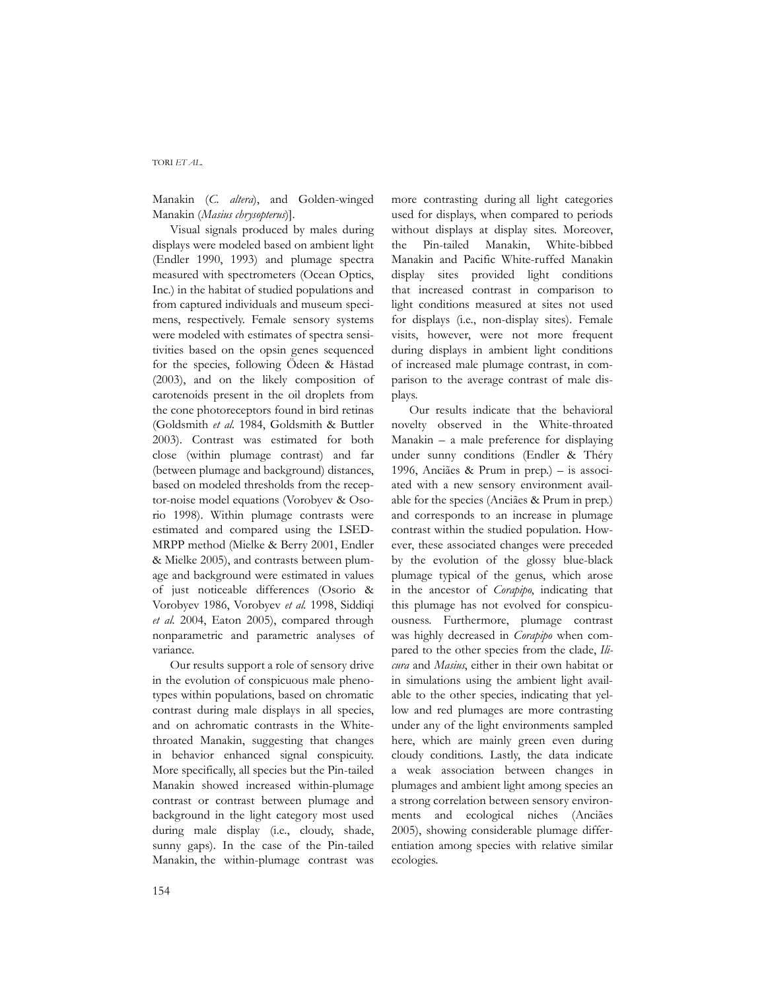Manakin (*C. altera*), and Golden-winged Manakin (*Masius chrysopterus*)].

Visual signals produced by males during displays were modeled based on ambient light (Endler 1990, 1993) and plumage spectra measured with spectrometers (Ocean Optics, Inc.) in the habitat of studied populations and from captured individuals and museum specimens, respectively. Female sensory systems were modeled with estimates of spectra sensitivities based on the opsin genes sequenced for the species, following Ödeen & Håstad (2003), and on the likely composition of carotenoids present in the oil droplets from the cone photoreceptors found in bird retinas (Goldsmith *et al.* 1984, Goldsmith & Buttler 2003). Contrast was estimated for both close (within plumage contrast) and far (between plumage and background) distances, based on modeled thresholds from the receptor-noise model equations (Vorobyev & Osorio 1998). Within plumage contrasts were estimated and compared using the LSED-MRPP method (Mielke & Berry 2001, Endler & Mielke 2005), and contrasts between plumage and background were estimated in values of just noticeable differences (Osorio & Vorobyev 1986, Vorobyev *et al.* 1998, Siddiqi *et al.* 2004, Eaton 2005), compared through nonparametric and parametric analyses of variance.

Our results support a role of sensory drive in the evolution of conspicuous male phenotypes within populations, based on chromatic contrast during male displays in all species, and on achromatic contrasts in the Whitethroated Manakin, suggesting that changes in behavior enhanced signal conspicuity. More specifically, all species but the Pin-tailed Manakin showed increased within-plumage contrast or contrast between plumage and background in the light category most used during male display (i.e., cloudy, shade, sunny gaps). In the case of the Pin-tailed Manakin, the within-plumage contrast was

more contrasting during all light categories used for displays, when compared to periods without displays at display sites. Moreover, the Pin-tailed Manakin, White-bibbed Manakin and Pacific White-ruffed Manakin display sites provided light conditions that increased contrast in comparison to light conditions measured at sites not used for displays (i.e., non-display sites). Female visits, however, were not more frequent during displays in ambient light conditions of increased male plumage contrast, in comparison to the average contrast of male displays.

Our results indicate that the behavioral novelty observed in the White-throated Manakin *–* a male preference for displaying under sunny conditions (Endler & Théry 1996, Anciães & Prum in prep.) – is associated with a new sensory environment available for the species (Anciães & Prum in prep.) and corresponds to an increase in plumage contrast within the studied population. However, these associated changes were preceded by the evolution of the glossy blue-black plumage typical of the genus, which arose in the ancestor of *Corapipo*, indicating that this plumage has not evolved for conspicuousness. Furthermore, plumage contrast was highly decreased in *Corapipo* when compared to the other species from the clade, *Ilicura* and *Masius*, either in their own habitat or in simulations using the ambient light available to the other species, indicating that yellow and red plumages are more contrasting under any of the light environments sampled here, which are mainly green even during cloudy conditions. Lastly, the data indicate a weak association between changes in plumages and ambient light among species an a strong correlation between sensory environments and ecological niches (Anciães 2005), showing considerable plumage differentiation among species with relative similar ecologies.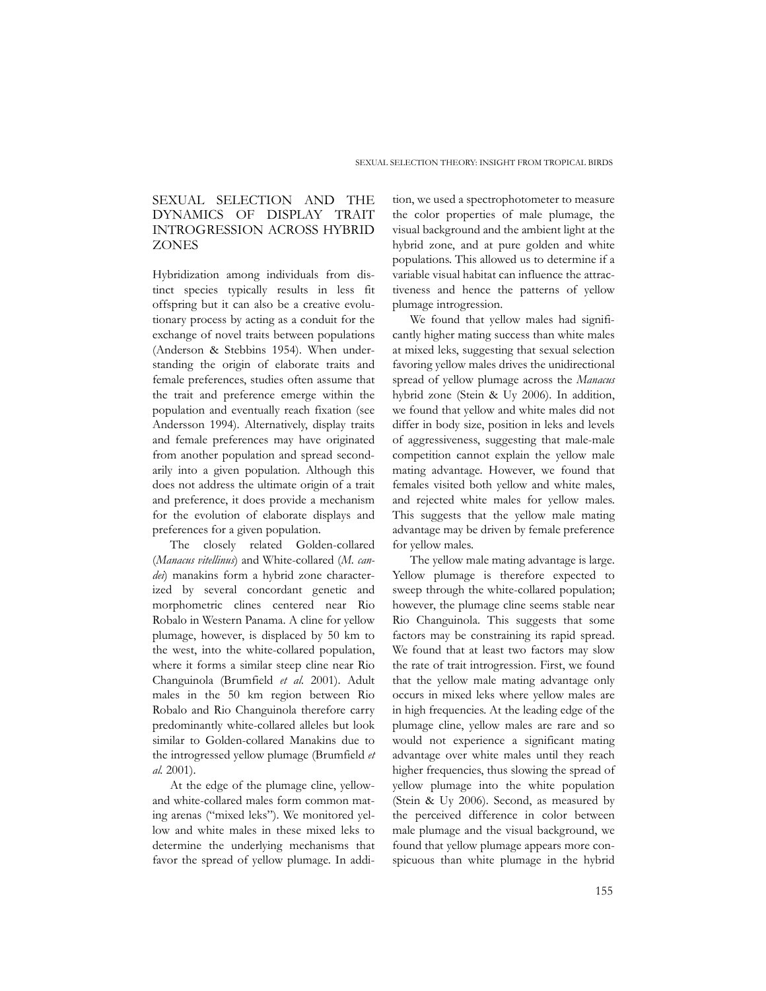### SEXUAL SELECTION AND THE DYNAMICS OF DISPLAY TRAIT INTROGRESSION ACROSS HYBRID **ZONES**

Hybridization among individuals from distinct species typically results in less fit offspring but it can also be a creative evolutionary process by acting as a conduit for the exchange of novel traits between populations (Anderson & Stebbins 1954). When understanding the origin of elaborate traits and female preferences, studies often assume that the trait and preference emerge within the population and eventually reach fixation (see Andersson 1994). Alternatively, display traits and female preferences may have originated from another population and spread secondarily into a given population. Although this does not address the ultimate origin of a trait and preference, it does provide a mechanism for the evolution of elaborate displays and preferences for a given population.

The closely related Golden-collared (*Manacus vitellinus*) and White-collared (*M. candei*) manakins form a hybrid zone characterized by several concordant genetic and morphometric clines centered near Rio Robalo in Western Panama. A cline for yellow plumage, however, is displaced by 50 km to the west, into the white-collared population, where it forms a similar steep cline near Rio Changuinola (Brumfield *et al.* 2001). Adult males in the 50 km region between Rio Robalo and Rio Changuinola therefore carry predominantly white-collared alleles but look similar to Golden-collared Manakins due to the introgressed yellow plumage (Brumfield *et al.* 2001).

At the edge of the plumage cline, yellowand white-collared males form common mating arenas ("mixed leks"). We monitored yellow and white males in these mixed leks to determine the underlying mechanisms that favor the spread of yellow plumage. In addi-

tion, we used a spectrophotometer to measure the color properties of male plumage, the visual background and the ambient light at the hybrid zone, and at pure golden and white populations. This allowed us to determine if a variable visual habitat can influence the attractiveness and hence the patterns of yellow plumage introgression.

We found that yellow males had significantly higher mating success than white males at mixed leks, suggesting that sexual selection favoring yellow males drives the unidirectional spread of yellow plumage across the *Manacus* hybrid zone (Stein & Uy 2006). In addition, we found that yellow and white males did not differ in body size, position in leks and levels of aggressiveness, suggesting that male-male competition cannot explain the yellow male mating advantage. However, we found that females visited both yellow and white males, and rejected white males for yellow males. This suggests that the yellow male mating advantage may be driven by female preference for yellow males.

The yellow male mating advantage is large. Yellow plumage is therefore expected to sweep through the white-collared population; however, the plumage cline seems stable near Rio Changuinola. This suggests that some factors may be constraining its rapid spread. We found that at least two factors may slow the rate of trait introgression. First, we found that the yellow male mating advantage only occurs in mixed leks where yellow males are in high frequencies. At the leading edge of the plumage cline, yellow males are rare and so would not experience a significant mating advantage over white males until they reach higher frequencies, thus slowing the spread of yellow plumage into the white population (Stein & Uy 2006). Second, as measured by the perceived difference in color between male plumage and the visual background, we found that yellow plumage appears more conspicuous than white plumage in the hybrid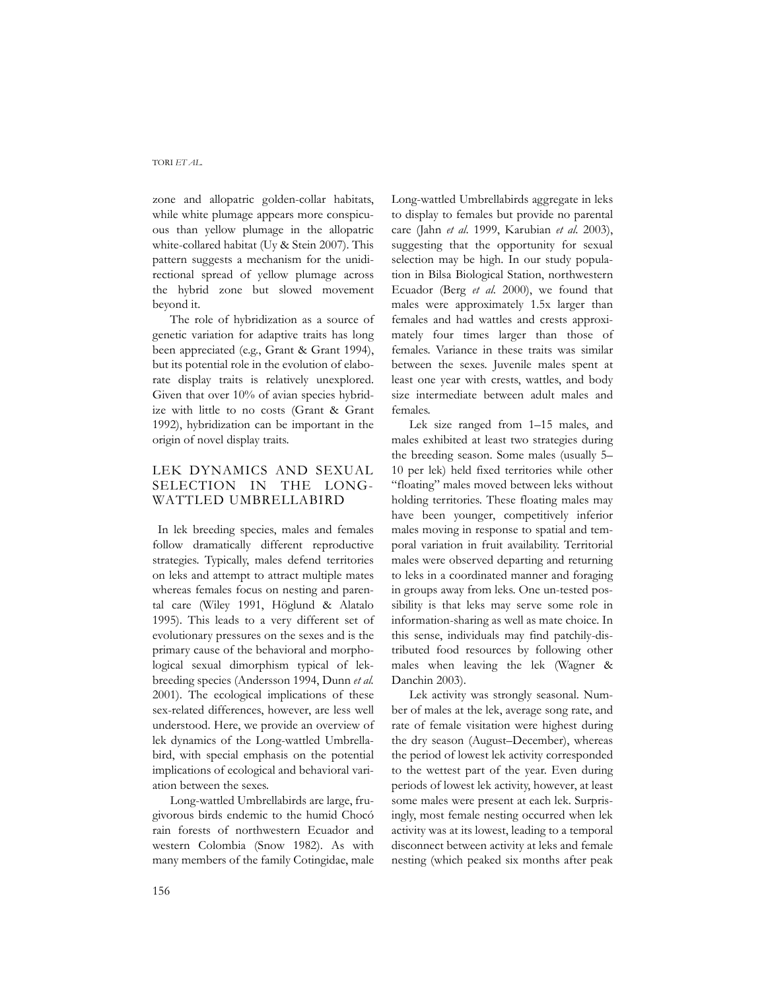zone and allopatric golden-collar habitats, while white plumage appears more conspicuous than yellow plumage in the allopatric white-collared habitat (Uy & Stein 2007). This pattern suggests a mechanism for the unidirectional spread of yellow plumage across the hybrid zone but slowed movement beyond it.

The role of hybridization as a source of genetic variation for adaptive traits has long been appreciated (e.g., Grant & Grant 1994), but its potential role in the evolution of elaborate display traits is relatively unexplored. Given that over 10% of avian species hybridize with little to no costs (Grant & Grant 1992), hybridization can be important in the origin of novel display traits.

## LEK DYNAMICS AND SEXUAL SELECTION IN THE LONG-WATTLED UMBRELLABIRD

 In lek breeding species, males and females follow dramatically different reproductive strategies. Typically, males defend territories on leks and attempt to attract multiple mates whereas females focus on nesting and parental care (Wiley 1991, Höglund & Alatalo 1995). This leads to a very different set of evolutionary pressures on the sexes and is the primary cause of the behavioral and morphological sexual dimorphism typical of lekbreeding species (Andersson 1994, Dunn *et al.* 2001). The ecological implications of these sex-related differences, however, are less well understood. Here, we provide an overview of lek dynamics of the Long-wattled Umbrellabird, with special emphasis on the potential implications of ecological and behavioral variation between the sexes.

Long-wattled Umbrellabirds are large, frugivorous birds endemic to the humid Chocó rain forests of northwestern Ecuador and western Colombia (Snow 1982). As with many members of the family Cotingidae, male

Long-wattled Umbrellabirds aggregate in leks to display to females but provide no parental care (Jahn *et al*. 1999, Karubian *et al*. 2003), suggesting that the opportunity for sexual selection may be high. In our study population in Bilsa Biological Station, northwestern Ecuador (Berg *et al*. 2000), we found that males were approximately 1.5x larger than females and had wattles and crests approximately four times larger than those of females. Variance in these traits was similar between the sexes. Juvenile males spent at least one year with crests, wattles, and body size intermediate between adult males and females.

Lek size ranged from 1–15 males, and males exhibited at least two strategies during the breeding season. Some males (usually 5– 10 per lek) held fixed territories while other "floating" males moved between leks without holding territories. These floating males may have been younger, competitively inferior males moving in response to spatial and temporal variation in fruit availability. Territorial males were observed departing and returning to leks in a coordinated manner and foraging in groups away from leks. One un-tested possibility is that leks may serve some role in information-sharing as well as mate choice. In this sense, individuals may find patchily-distributed food resources by following other males when leaving the lek (Wagner & Danchin 2003).

Lek activity was strongly seasonal. Number of males at the lek, average song rate, and rate of female visitation were highest during the dry season (August–December), whereas the period of lowest lek activity corresponded to the wettest part of the year. Even during periods of lowest lek activity, however, at least some males were present at each lek. Surprisingly, most female nesting occurred when lek activity was at its lowest, leading to a temporal disconnect between activity at leks and female nesting (which peaked six months after peak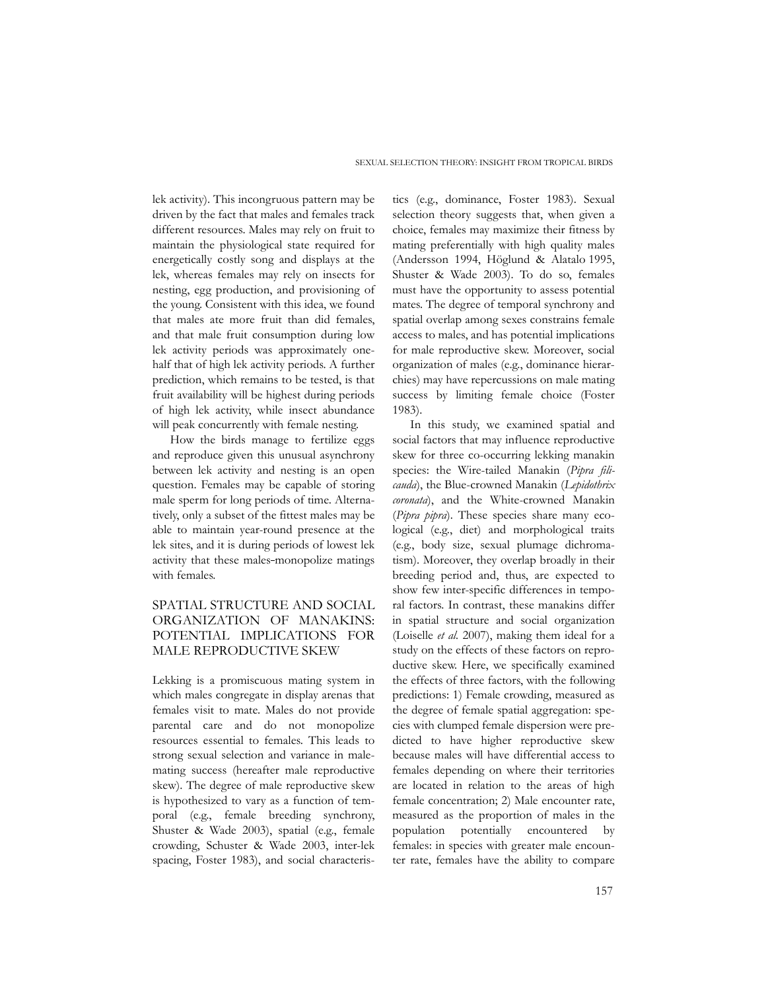lek activity). This incongruous pattern may be driven by the fact that males and females track different resources. Males may rely on fruit to maintain the physiological state required for energetically costly song and displays at the lek, whereas females may rely on insects for nesting, egg production, and provisioning of the young. Consistent with this idea, we found that males ate more fruit than did females, and that male fruit consumption during low lek activity periods was approximately onehalf that of high lek activity periods. A further prediction, which remains to be tested, is that fruit availability will be highest during periods of high lek activity, while insect abundance will peak concurrently with female nesting.

How the birds manage to fertilize eggs and reproduce given this unusual asynchrony between lek activity and nesting is an open question. Females may be capable of storing male sperm for long periods of time. Alternatively, only a subset of the fittest males may be able to maintain year-round presence at the lek sites, and it is during periods of lowest lek activity that these males-monopolize matings with females.

## SPATIAL STRUCTURE AND SOCIAL ORGANIZATION OF MANAKINS: POTENTIAL IMPLICATIONS FOR MALE REPRODUCTIVE SKEW

Lekking is a promiscuous mating system in which males congregate in display arenas that females visit to mate. Males do not provide parental care and do not monopolize resources essential to females. This leads to strong sexual selection and variance in malemating success (hereafter male reproductive skew). The degree of male reproductive skew is hypothesized to vary as a function of temporal (e.g., female breeding synchrony, Shuster & Wade 2003), spatial (e.g., female crowding, Schuster & Wade 2003, inter-lek spacing, Foster 1983), and social characteris-

tics (e.g., dominance, Foster 1983). Sexual selection theory suggests that, when given a choice, females may maximize their fitness by mating preferentially with high quality males (Andersson 1994, Höglund & Alatalo 1995, Shuster & Wade 2003). To do so, females must have the opportunity to assess potential mates. The degree of temporal synchrony and spatial overlap among sexes constrains female access to males, and has potential implications for male reproductive skew. Moreover, social organization of males (e.g., dominance hierarchies) may have repercussions on male mating success by limiting female choice (Foster 1983).

In this study, we examined spatial and social factors that may influence reproductive skew for three co-occurring lekking manakin species: the Wire-tailed Manakin (*Pipra filicauda*), the Blue-crowned Manakin (*Lepidothrix coronata*), and the White-crowned Manakin (*Pipra pipra*). These species share many ecological (e.g., diet) and morphological traits (e.g., body size, sexual plumage dichromatism). Moreover, they overlap broadly in their breeding period and, thus, are expected to show few inter-specific differences in temporal factors. In contrast, these manakins differ in spatial structure and social organization (Loiselle *et al.* 2007), making them ideal for a study on the effects of these factors on reproductive skew. Here, we specifically examined the effects of three factors, with the following predictions: 1) Female crowding, measured as the degree of female spatial aggregation: species with clumped female dispersion were predicted to have higher reproductive skew because males will have differential access to females depending on where their territories are located in relation to the areas of high female concentration; 2) Male encounter rate, measured as the proportion of males in the population potentially encountered by females: in species with greater male encounter rate, females have the ability to compare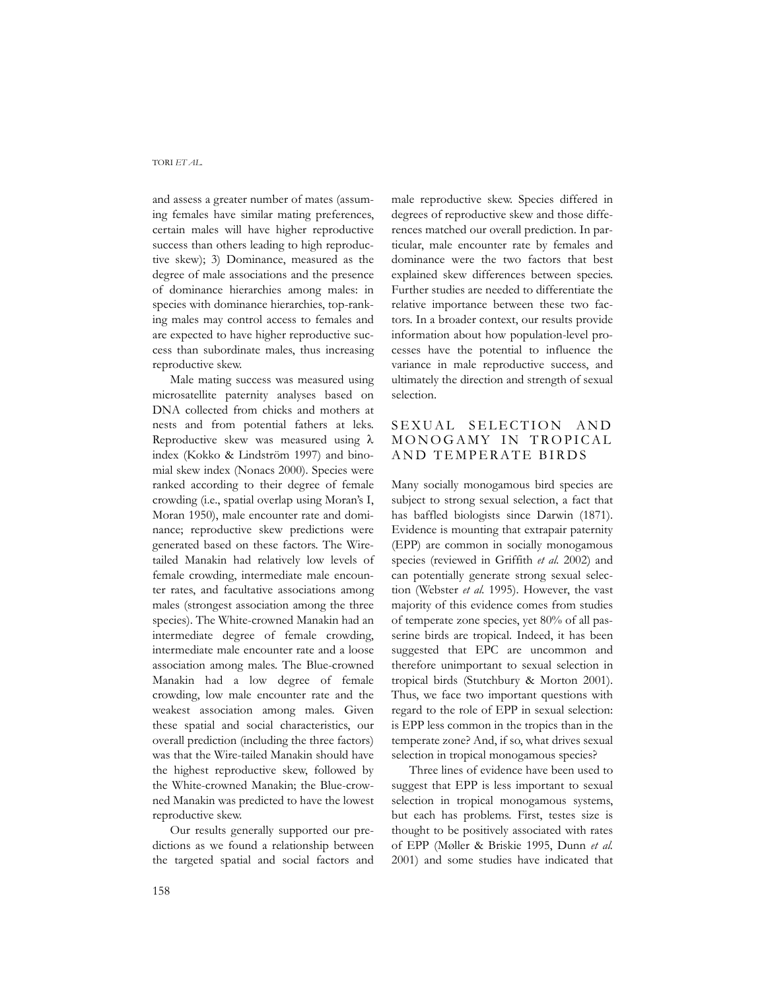and assess a greater number of mates (assuming females have similar mating preferences, certain males will have higher reproductive success than others leading to high reproductive skew); 3) Dominance, measured as the degree of male associations and the presence of dominance hierarchies among males: in species with dominance hierarchies, top-ranking males may control access to females and are expected to have higher reproductive success than subordinate males, thus increasing reproductive skew.

Male mating success was measured using microsatellite paternity analyses based on DNA collected from chicks and mothers at nests and from potential fathers at leks. Reproductive skew was measured using λ index (Kokko & Lindström 1997) and binomial skew index (Nonacs 2000). Species were ranked according to their degree of female crowding (i.e., spatial overlap using Moran's I, Moran 1950), male encounter rate and dominance; reproductive skew predictions were generated based on these factors. The Wiretailed Manakin had relatively low levels of female crowding, intermediate male encounter rates, and facultative associations among males (strongest association among the three species). The White-crowned Manakin had an intermediate degree of female crowding, intermediate male encounter rate and a loose association among males. The Blue-crowned Manakin had a low degree of female crowding, low male encounter rate and the weakest association among males. Given these spatial and social characteristics, our overall prediction (including the three factors) was that the Wire-tailed Manakin should have the highest reproductive skew, followed by the White-crowned Manakin; the Blue-crowned Manakin was predicted to have the lowest reproductive skew.

Our results generally supported our predictions as we found a relationship between the targeted spatial and social factors and male reproductive skew. Species differed in degrees of reproductive skew and those differences matched our overall prediction. In particular, male encounter rate by females and dominance were the two factors that best explained skew differences between species. Further studies are needed to differentiate the relative importance between these two factors. In a broader context, our results provide information about how population-level processes have the potential to influence the variance in male reproductive success, and ultimately the direction and strength of sexual selection.

## SEXUAL SELECTION AND MONOGAMY IN TROPICAL AND TEMPERATE BIRDS

Many socially monogamous bird species are subject to strong sexual selection, a fact that has baffled biologists since Darwin (1871). Evidence is mounting that extrapair paternity (EPP) are common in socially monogamous species (reviewed in Griffith *et al.* 2002) and can potentially generate strong sexual selection (Webster *et al.* 1995). However, the vast majority of this evidence comes from studies of temperate zone species, yet 80% of all passerine birds are tropical. Indeed, it has been suggested that EPC are uncommon and therefore unimportant to sexual selection in tropical birds (Stutchbury & Morton 2001). Thus, we face two important questions with regard to the role of EPP in sexual selection: is EPP less common in the tropics than in the temperate zone? And, if so, what drives sexual selection in tropical monogamous species?

Three lines of evidence have been used to suggest that EPP is less important to sexual selection in tropical monogamous systems, but each has problems. First, testes size is thought to be positively associated with rates of EPP (Møller & Briskie 1995, Dunn *et al.* 2001) and some studies have indicated that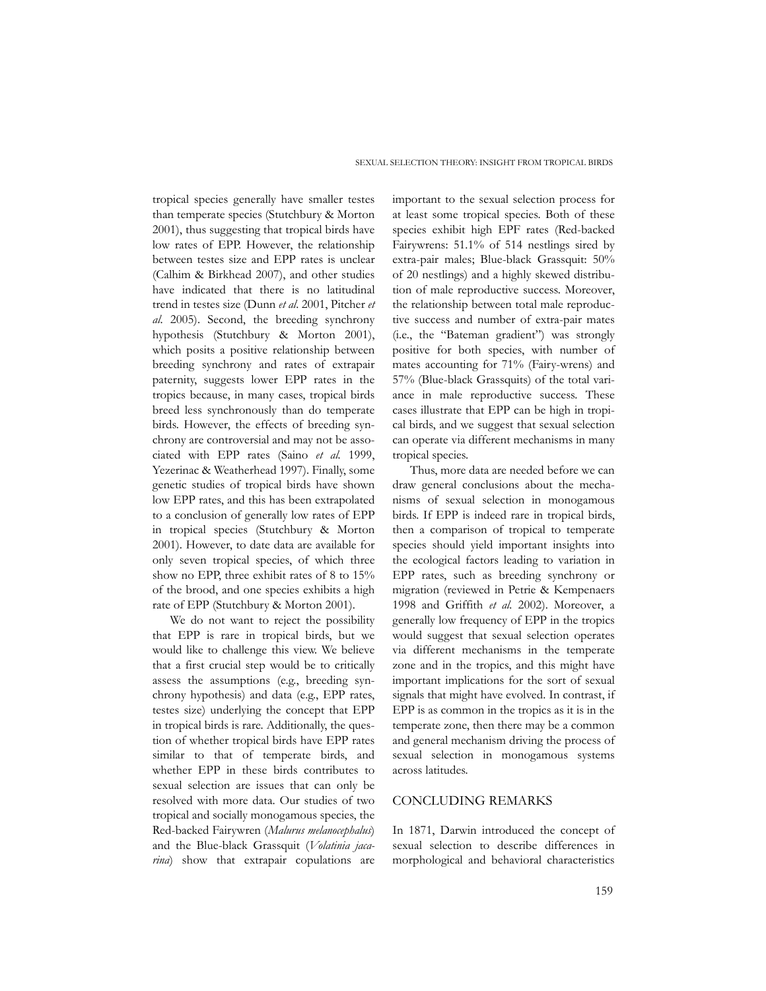tropical species generally have smaller testes than temperate species (Stutchbury & Morton 2001), thus suggesting that tropical birds have low rates of EPP. However, the relationship between testes size and EPP rates is unclear (Calhim & Birkhead 2007), and other studies have indicated that there is no latitudinal trend in testes size (Dunn *et al*. 2001, Pitcher *et al*. 2005). Second, the breeding synchrony hypothesis (Stutchbury & Morton 2001), which posits a positive relationship between breeding synchrony and rates of extrapair paternity, suggests lower EPP rates in the tropics because, in many cases, tropical birds breed less synchronously than do temperate birds. However, the effects of breeding synchrony are controversial and may not be associated with EPP rates (Saino *et al.* 1999, Yezerinac & Weatherhead 1997). Finally, some genetic studies of tropical birds have shown low EPP rates, and this has been extrapolated to a conclusion of generally low rates of EPP in tropical species (Stutchbury & Morton 2001). However, to date data are available for only seven tropical species, of which three show no EPP, three exhibit rates of 8 to 15% of the brood, and one species exhibits a high rate of EPP (Stutchbury & Morton 2001).

We do not want to reject the possibility that EPP is rare in tropical birds, but we would like to challenge this view. We believe that a first crucial step would be to critically assess the assumptions (e.g., breeding synchrony hypothesis) and data (e.g., EPP rates, testes size) underlying the concept that EPP in tropical birds is rare. Additionally, the question of whether tropical birds have EPP rates similar to that of temperate birds, and whether EPP in these birds contributes to sexual selection are issues that can only be resolved with more data. Our studies of two tropical and socially monogamous species, the Red-backed Fairywren (*Malurus melanocephalus*) and the Blue-black Grassquit (*Volatinia jacarina*) show that extrapair copulations are

important to the sexual selection process for at least some tropical species. Both of these species exhibit high EPF rates (Red-backed Fairywrens: 51.1% of 514 nestlings sired by extra-pair males; Blue-black Grassquit: 50% of 20 nestlings) and a highly skewed distribution of male reproductive success. Moreover, the relationship between total male reproductive success and number of extra-pair mates (i.e., the "Bateman gradient") was strongly positive for both species, with number of mates accounting for 71% (Fairy-wrens) and 57% (Blue-black Grassquits) of the total variance in male reproductive success. These cases illustrate that EPP can be high in tropical birds, and we suggest that sexual selection can operate via different mechanisms in many tropical species.

Thus, more data are needed before we can draw general conclusions about the mechanisms of sexual selection in monogamous birds. If EPP is indeed rare in tropical birds, then a comparison of tropical to temperate species should yield important insights into the ecological factors leading to variation in EPP rates, such as breeding synchrony or migration (reviewed in Petrie & Kempenaers 1998 and Griffith *et al.* 2002). Moreover, a generally low frequency of EPP in the tropics would suggest that sexual selection operates via different mechanisms in the temperate zone and in the tropics, and this might have important implications for the sort of sexual signals that might have evolved. In contrast, if EPP is as common in the tropics as it is in the temperate zone, then there may be a common and general mechanism driving the process of sexual selection in monogamous systems across latitudes.

### CONCLUDING REMARKS

In 1871, Darwin introduced the concept of sexual selection to describe differences in morphological and behavioral characteristics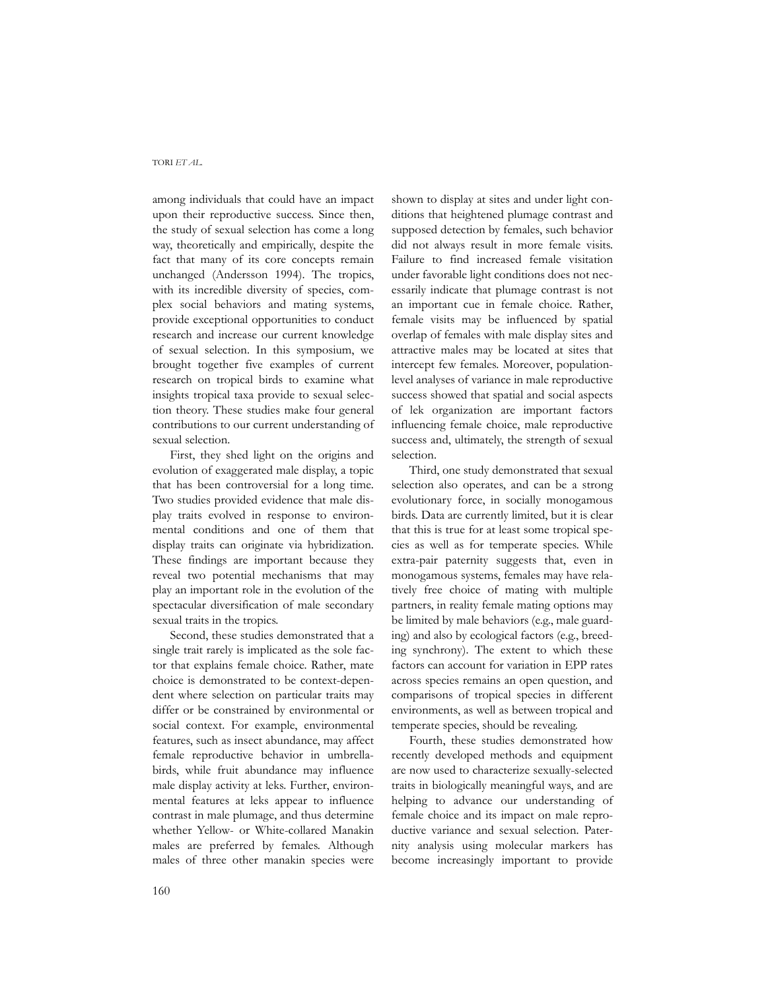among individuals that could have an impact upon their reproductive success. Since then, the study of sexual selection has come a long way, theoretically and empirically, despite the fact that many of its core concepts remain unchanged (Andersson 1994). The tropics, with its incredible diversity of species, complex social behaviors and mating systems, provide exceptional opportunities to conduct research and increase our current knowledge of sexual selection. In this symposium, we brought together five examples of current research on tropical birds to examine what insights tropical taxa provide to sexual selection theory. These studies make four general contributions to our current understanding of sexual selection.

First, they shed light on the origins and evolution of exaggerated male display, a topic that has been controversial for a long time. Two studies provided evidence that male display traits evolved in response to environmental conditions and one of them that display traits can originate via hybridization. These findings are important because they reveal two potential mechanisms that may play an important role in the evolution of the spectacular diversification of male secondary sexual traits in the tropics.

Second, these studies demonstrated that a single trait rarely is implicated as the sole factor that explains female choice. Rather, mate choice is demonstrated to be context-dependent where selection on particular traits may differ or be constrained by environmental or social context. For example, environmental features, such as insect abundance, may affect female reproductive behavior in umbrellabirds, while fruit abundance may influence male display activity at leks. Further, environmental features at leks appear to influence contrast in male plumage, and thus determine whether Yellow- or White-collared Manakin males are preferred by females. Although males of three other manakin species were

shown to display at sites and under light conditions that heightened plumage contrast and supposed detection by females, such behavior did not always result in more female visits. Failure to find increased female visitation under favorable light conditions does not necessarily indicate that plumage contrast is not an important cue in female choice. Rather, female visits may be influenced by spatial overlap of females with male display sites and attractive males may be located at sites that intercept few females. Moreover, populationlevel analyses of variance in male reproductive success showed that spatial and social aspects of lek organization are important factors influencing female choice, male reproductive success and, ultimately, the strength of sexual selection.

Third, one study demonstrated that sexual selection also operates, and can be a strong evolutionary force, in socially monogamous birds. Data are currently limited, but it is clear that this is true for at least some tropical species as well as for temperate species. While extra-pair paternity suggests that, even in monogamous systems, females may have relatively free choice of mating with multiple partners, in reality female mating options may be limited by male behaviors (e.g., male guarding) and also by ecological factors (e.g., breeding synchrony). The extent to which these factors can account for variation in EPP rates across species remains an open question, and comparisons of tropical species in different environments, as well as between tropical and temperate species, should be revealing.

Fourth, these studies demonstrated how recently developed methods and equipment are now used to characterize sexually-selected traits in biologically meaningful ways, and are helping to advance our understanding of female choice and its impact on male reproductive variance and sexual selection. Paternity analysis using molecular markers has become increasingly important to provide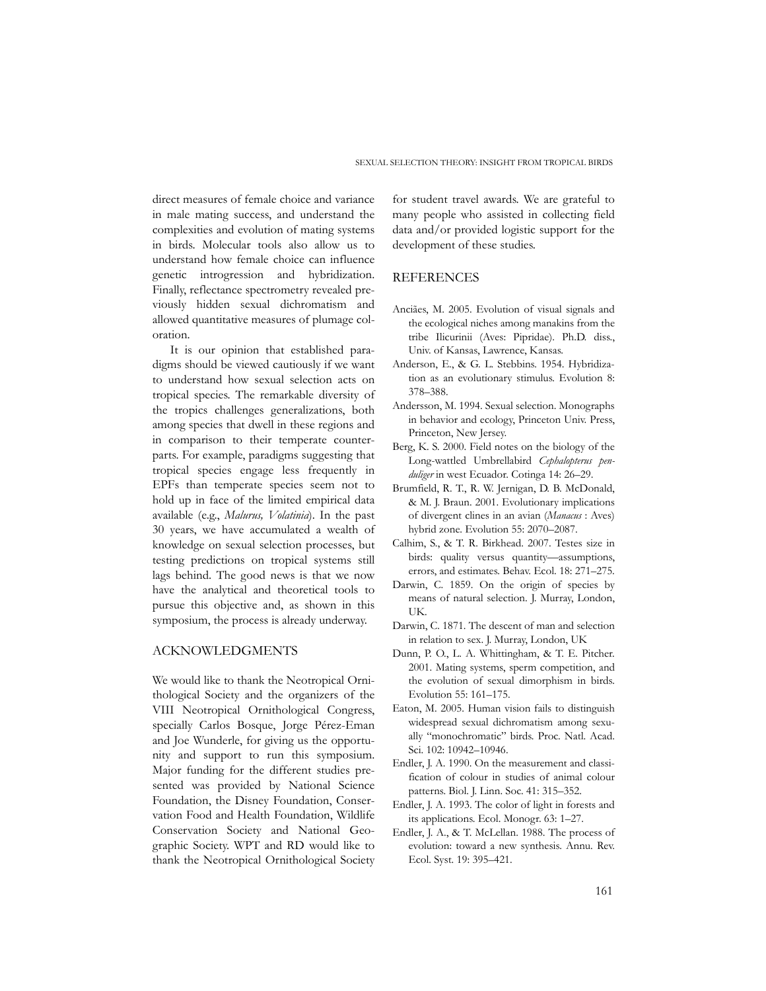direct measures of female choice and variance in male mating success, and understand the complexities and evolution of mating systems in birds. Molecular tools also allow us to understand how female choice can influence genetic introgression and hybridization. Finally, reflectance spectrometry revealed previously hidden sexual dichromatism and allowed quantitative measures of plumage coloration.

It is our opinion that established paradigms should be viewed cautiously if we want to understand how sexual selection acts on tropical species. The remarkable diversity of the tropics challenges generalizations, both among species that dwell in these regions and in comparison to their temperate counterparts. For example, paradigms suggesting that tropical species engage less frequently in EPFs than temperate species seem not to hold up in face of the limited empirical data available (e.g., *Malurus, Volatinia*). In the past 30 years, we have accumulated a wealth of knowledge on sexual selection processes, but testing predictions on tropical systems still lags behind. The good news is that we now have the analytical and theoretical tools to pursue this objective and, as shown in this symposium, the process is already underway.

### ACKNOWLEDGMENTS

We would like to thank the Neotropical Ornithological Society and the organizers of the VIII Neotropical Ornithological Congress, specially Carlos Bosque, Jorge Pérez-Eman and Joe Wunderle, for giving us the opportunity and support to run this symposium. Major funding for the different studies presented was provided by National Science Foundation, the Disney Foundation, Conservation Food and Health Foundation, Wildlife Conservation Society and National Geographic Society. WPT and RD would like to thank the Neotropical Ornithological Society

for student travel awards. We are grateful to many people who assisted in collecting field data and/or provided logistic support for the development of these studies.

### **REFERENCES**

- Anciães, M. 2005. Evolution of visual signals and the ecological niches among manakins from the tribe Ilicurinii (Aves: Pipridae). Ph.D. diss., Univ. of Kansas, Lawrence, Kansas.
- Anderson, E., & G. L. Stebbins. 1954. Hybridization as an evolutionary stimulus. Evolution 8: 378–388.
- Andersson, M. 1994. Sexual selection. Monographs in behavior and ecology, Princeton Univ. Press, Princeton, New Jersey.
- Berg, K. S. 2000. Field notes on the biology of the Long-wattled Umbrellabird *Cephalopterus penduliger* in west Ecuador. Cotinga 14: 26–29.
- Brumfield, R. T., R. W. Jernigan, D. B. McDonald, & M. J. Braun. 2001. Evolutionary implications of divergent clines in an avian (*Manacus* : Aves) hybrid zone. Evolution 55: 2070–2087.
- Calhim, S., & T. R. Birkhead. 2007. Testes size in birds: quality versus quantity—assumptions, errors, and estimates. Behav. Ecol. 18: 271–275.
- Darwin, C. 1859. On the origin of species by means of natural selection. J. Murray, London, UK.
- Darwin, C. 1871. The descent of man and selection in relation to sex. J. Murray, London, UK
- Dunn, P. O., L. A. Whittingham, & T. E. Pitcher. 2001. Mating systems, sperm competition, and the evolution of sexual dimorphism in birds. Evolution 55: 161–175.
- Eaton, M. 2005. Human vision fails to distinguish widespread sexual dichromatism among sexually "monochromatic" birds. Proc. Natl. Acad. Sci. 102: 10942–10946.
- Endler, J. A. 1990. On the measurement and classification of colour in studies of animal colour patterns. Biol. J. Linn. Soc. 41: 315–352.
- Endler, J. A. 1993. The color of light in forests and its applications. Ecol. Monogr. 63: 1–27.
- Endler, J. A., & T. McLellan. 1988. The process of evolution: toward a new synthesis. Annu. Rev. Ecol. Syst. 19: 395–421.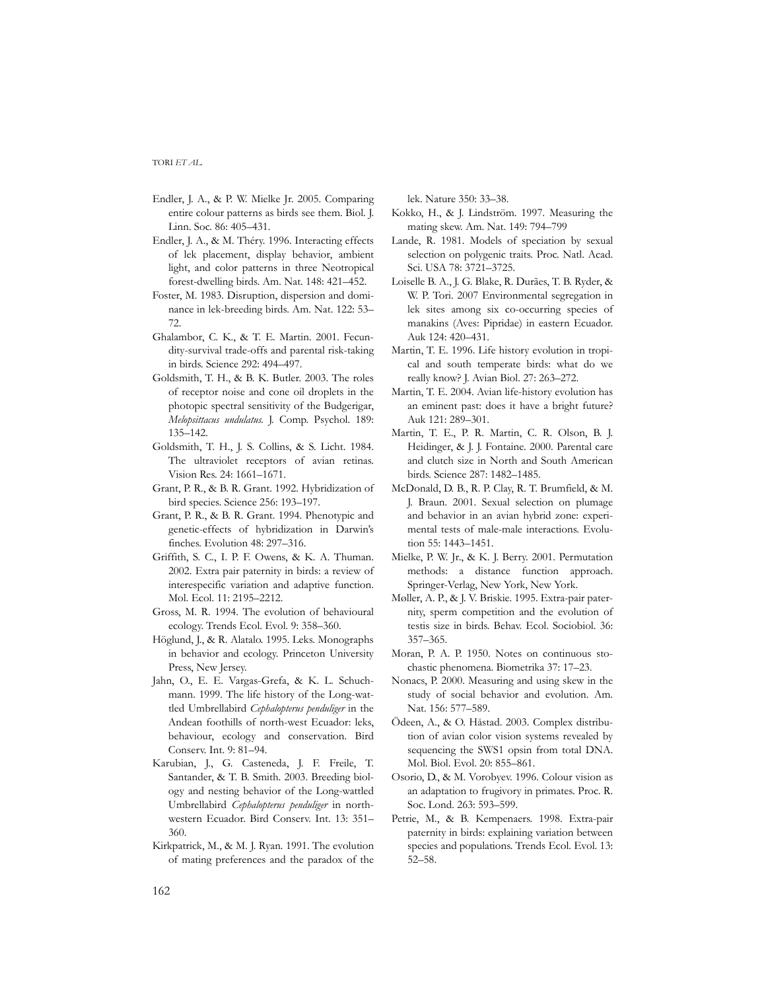- Endler, J. A., & P. W. Mielke Jr. 2005. Comparing entire colour patterns as birds see them. Biol. J. Linn. Soc. 86: 405–431.
- Endler, J. A., & M. Théry. 1996. Interacting effects of lek placement, display behavior, ambient light, and color patterns in three Neotropical forest-dwelling birds. Am. Nat. 148: 421–452.
- Foster, M. 1983. Disruption, dispersion and dominance in lek-breeding birds. Am. Nat. 122: 53– 72.
- Ghalambor, C. K., & T. E. Martin. 2001. Fecundity-survival trade-offs and parental risk-taking in birds. Science 292: 494–497.
- Goldsmith, T. H., & B. K. Butler. 2003. The roles of receptor noise and cone oil droplets in the photopic spectral sensitivity of the Budgerigar, *Melopsittacus undulatus*. J. Comp. Psychol. 189: 135–142.
- Goldsmith, T. H., J. S. Collins, & S. Licht. 1984. The ultraviolet receptors of avian retinas. Vision Res. 24: 1661–1671.
- Grant, P. R., & B. R. Grant. 1992. Hybridization of bird species. Science 256: 193–197.
- Grant, P. R., & B. R. Grant. 1994. Phenotypic and genetic-effects of hybridization in Darwin's finches. Evolution 48: 297–316.
- Griffith, S. C., I. P. F. Owens, & K. A. Thuman. 2002. Extra pair paternity in birds: a review of interespecific variation and adaptive function. Mol. Ecol. 11: 2195–2212.
- Gross, M. R. 1994. The evolution of behavioural ecology. Trends Ecol. Evol. 9: 358–360.
- Höglund, J., & R. Alatalo. 1995. Leks. Monographs in behavior and ecology. Princeton University Press, New Jersey.
- Jahn, O., E. E. Vargas-Grefa, & K. L. Schuchmann. 1999. The life history of the Long-wattled Umbrellabird *Cephalopterus penduliger* in the Andean foothills of north-west Ecuador: leks, behaviour, ecology and conservation. Bird Conserv. Int. 9: 81–94.
- Karubian, J., G. Casteneda, J. F. Freile, T. Santander, & T. B. Smith. 2003. Breeding biology and nesting behavior of the Long-wattled Umbrellabird *Cephalopterus penduliger* in northwestern Ecuador. Bird Conserv. Int. 13: 351– 360.
- Kirkpatrick, M., & M. J. Ryan. 1991. The evolution of mating preferences and the paradox of the

lek. Nature 350: 33–38.

- Kokko, H., & J. Lindström. 1997. Measuring the mating skew. Am. Nat. 149: 794–799
- Lande, R. 1981. Models of speciation by sexual selection on polygenic traits. Proc. Natl. Acad. Sci. USA 78: 3721–3725.
- Loiselle B. A., J. G. Blake, R. Durães, T. B. Ryder, & W. P. Tori. 2007 Environmental segregation in lek sites among six co-occurring species of manakins (Aves: Pipridae) in eastern Ecuador. Auk 124: 420–431.
- Martin, T. E. 1996. Life history evolution in tropical and south temperate birds: what do we really know? J. Avian Biol. 27: 263–272.
- Martin, T. E. 2004. Avian life-history evolution has an eminent past: does it have a bright future? Auk 121: 289–301.
- Martin, T. E., P. R. Martin, C. R. Olson, B. J. Heidinger, & J. J. Fontaine. 2000. Parental care and clutch size in North and South American birds. Science 287: 1482–1485.
- McDonald, D. B., R. P. Clay, R. T. Brumfield, & M. J. Braun. 2001. Sexual selection on plumage and behavior in an avian hybrid zone: experimental tests of male-male interactions. Evolution 55: 1443–1451.
- Mielke, P. W. Jr., & K. J. Berry. 2001. Permutation methods: a distance function approach. Springer-Verlag, New York, New York.
- Møller, A. P., & J. V. Briskie. 1995. Extra-pair paternity, sperm competition and the evolution of testis size in birds. Behav. Ecol. Sociobiol. 36: 357–365.
- Moran, P. A. P. 1950. Notes on continuous stochastic phenomena. Biometrika 37: 17–23.
- Nonacs, P. 2000. Measuring and using skew in the study of social behavior and evolution. Am. Nat. 156: 577–589.
- Ödeen, A., & O. Håstad. 2003. Complex distribution of avian color vision systems revealed by sequencing the SWS1 opsin from total DNA. Mol. Biol. Evol. 20: 855–861.
- Osorio, D., & M. Vorobyev. 1996. Colour vision as an adaptation to frugivory in primates. Proc. R. Soc. Lond. 263: 593–599.
- Petrie, M., & B. Kempenaers. 1998. Extra-pair paternity in birds: explaining variation between species and populations. Trends Ecol. Evol. 13: 52–58.